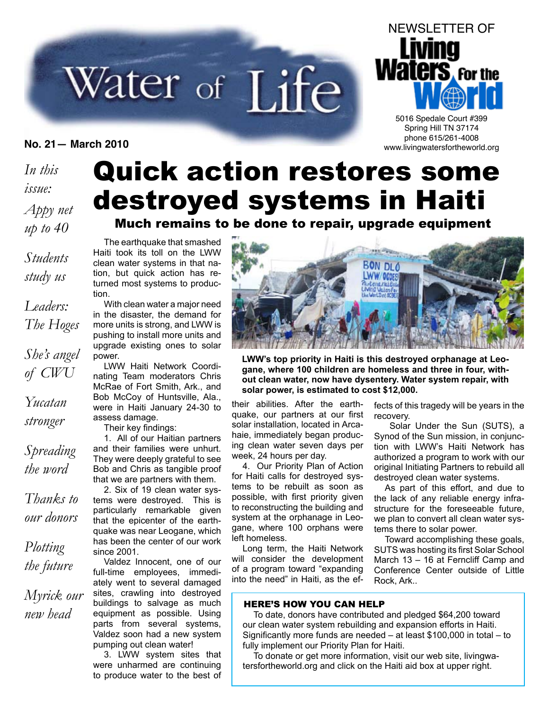# Water of Life

#### phone 615/261-4008 **No. 21— March 2010** www.livingwatersfortheworld.org

### *In this issue: Appy net up to 40*

*Students study us*

*Leaders: The Hoges*

*She's angel of CWU*

*Yucatan stronger*

*Spreading the word*

*Thanks to our donors*

*Plotting the future*

*Myrick our new head*

### Quick action restores some destroyed systems in Haiti

Much remains to be done to repair, upgrade equipment

The earthquake that smashed Haiti took its toll on the LWW clean water systems in that nation, but quick action has returned most systems to production.

With clean water a major need in the disaster, the demand for more units is strong, and LWW is pushing to install more units and upgrade existing ones to solar power.

LWW Haiti Network Coordinating Team moderators Chris McRae of Fort Smith, Ark., and Bob McCoy of Huntsville, Ala., were in Haiti January 24-30 to assess damage.

Their key findings:

1. All of our Haitian partners and their families were unhurt. They were deeply grateful to see Bob and Chris as tangible proof that we are partners with them.

2. Six of 19 clean water systems were destroyed. This is particularly remarkable given that the epicenter of the earthquake was near Leogane, which has been the center of our work since 2001.

Valdez Innocent, one of our full-time employees, immediately went to several damaged sites, crawling into destroyed buildings to salvage as much equipment as possible. Using parts from several systems, Valdez soon had a new system pumping out clean water!

3. LWW system sites that were unharmed are continuing to produce water to the best of



**LWW's top priority in Haiti is this destroyed orphanage at Leogane, where 100 children are homeless and three in four, without clean water, now have dysentery. Water system repair, with solar power, is estimated to cost \$12,000.**

their abilities. After the earthquake, our partners at our first solar installation, located in Arcahaie, immediately began producing clean water seven days per week, 24 hours per day.

4. Our Priority Plan of Action for Haiti calls for destroyed systems to be rebuilt as soon as possible, with first priority given to reconstructing the building and system at the orphanage in Leogane, where 100 orphans were left homeless.

Long term, the Haiti Network will consider the development of a program toward "expanding into the need" in Haiti, as the effects of this tragedy will be years in the recovery.

Solar Under the Sun (SUTS), a Synod of the Sun mission, in conjunction with LWW's Haiti Network has authorized a program to work with our original Initiating Partners to rebuild all destroyed clean water systems.

As part of this effort, and due to the lack of any reliable energy infrastructure for the foreseeable future, we plan to convert all clean water systems there to solar power.

Toward accomplishing these goals, SUTS was hosting its first Solar School March 13 – 16 at Ferncliff Camp and Conference Center outside of Little Rock, Ark..

#### HERE'S HOW YOU CAN HELP

To date, donors have contributed and pledged \$64,200 toward our clean water system rebuilding and expansion efforts in Haiti. Significantly more funds are needed – at least \$100,000 in total – to fully implement our Priority Plan for Haiti.

To donate or get more information, visit our web site, livingwatersfortheworld.org and click on the Haiti aid box at upper right.



Spring Hill TN 37174<br>phone 615/261-4008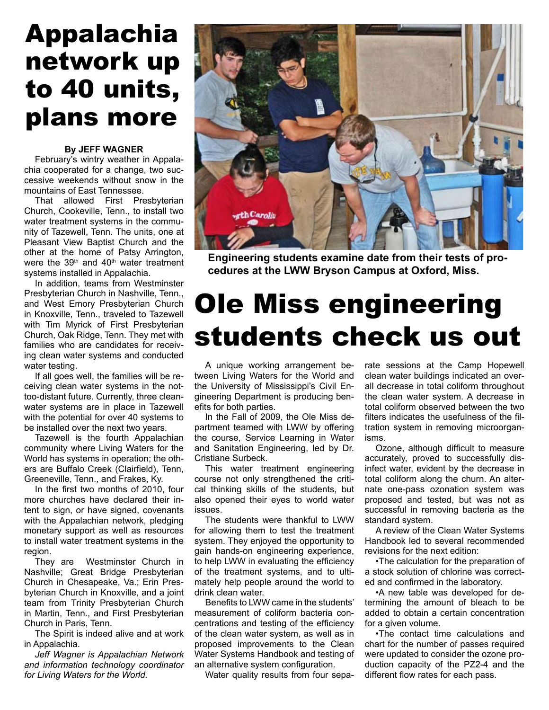## Appalachia network up to 40 units, plans more

#### **By JEFF WAGNER**

February's wintry weather in Appalachia cooperated for a change, two successive weekends without snow in the mountains of East Tennessee.

That allowed First Presbyterian Church, Cookeville, Tenn., to install two water treatment systems in the community of Tazewell, Tenn. The units, one at Pleasant View Baptist Church and the other at the home of Patsy Arrington, were the  $39<sup>th</sup>$  and  $40<sup>th</sup>$  water treatment systems installed in Appalachia.

In addition, teams from Westminster Presbyterian Church in Nashville, Tenn., and West Emory Presbyterian Church in Knoxville, Tenn., traveled to Tazewell with Tim Myrick of First Presbyterian Church, Oak Ridge, Tenn. They met with families who are candidates for receiving clean water systems and conducted water testing.

If all goes well, the families will be receiving clean water systems in the nottoo-distant future. Currently, three cleanwater systems are in place in Tazewell with the potential for over 40 systems to be installed over the next two years.

Tazewell is the fourth Appalachian community where Living Waters for the World has systems in operation; the others are Buffalo Creek (Clairfield), Tenn, Greeneville, Tenn., and Frakes, Ky.

In the first two months of 2010, four more churches have declared their intent to sign, or have signed, covenants with the Appalachian network, pledging monetary support as well as resources to install water treatment systems in the region.

They are Westminster Church in Nashville; Great Bridge Presbyterian Church in Chesapeake, Va.; Erin Presbyterian Church in Knoxville, and a joint team from Trinity Presbyterian Church in Martin, Tenn., and First Presbyterian Church in Paris, Tenn.

The Spirit is indeed alive and at work in Appalachia.

*Jeff Wagner is Appalachian Network and information technology coordinator for Living Waters for the World.*



**Engineering students examine date from their tests of procedures at the LWW Bryson Campus at Oxford, Miss.**

# Ole Miss engineering students check us out

A unique working arrangement between Living Waters for the World and the University of Mississippi's Civil Engineering Department is producing benefits for both parties.

In the Fall of 2009, the Ole Miss department teamed with LWW by offering the course, Service Learning in Water and Sanitation Engineering, led by Dr. Cristiane Surbeck.

This water treatment engineering course not only strengthened the critical thinking skills of the students, but also opened their eyes to world water issues.

The students were thankful to LWW for allowing them to test the treatment system. They enjoyed the opportunity to gain hands-on engineering experience, to help LWW in evaluating the efficiency of the treatment systems, and to ultimately help people around the world to drink clean water.

Benefits to LWW came in the students' measurement of coliform bacteria concentrations and testing of the efficiency of the clean water system, as well as in proposed improvements to the Clean Water Systems Handbook and testing of an alternative system configuration.

Water quality results from four sepa-

rate sessions at the Camp Hopewell clean water buildings indicated an overall decrease in total coliform throughout the clean water system. A decrease in total coliform observed between the two filters indicates the usefulness of the filtration system in removing microorganisms.

Ozone, although difficult to measure accurately, proved to successfully disinfect water, evident by the decrease in total coliform along the churn. An alternate one-pass ozonation system was proposed and tested, but was not as successful in removing bacteria as the standard system.

A review of the Clean Water Systems Handbook led to several recommended revisions for the next edition:

•The calculation for the preparation of a stock solution of chlorine was corrected and confirmed in the laboratory.

•A new table was developed for determining the amount of bleach to be added to obtain a certain concentration for a given volume.

•The contact time calculations and chart for the number of passes required were updated to consider the ozone production capacity of the PZ2-4 and the different flow rates for each pass.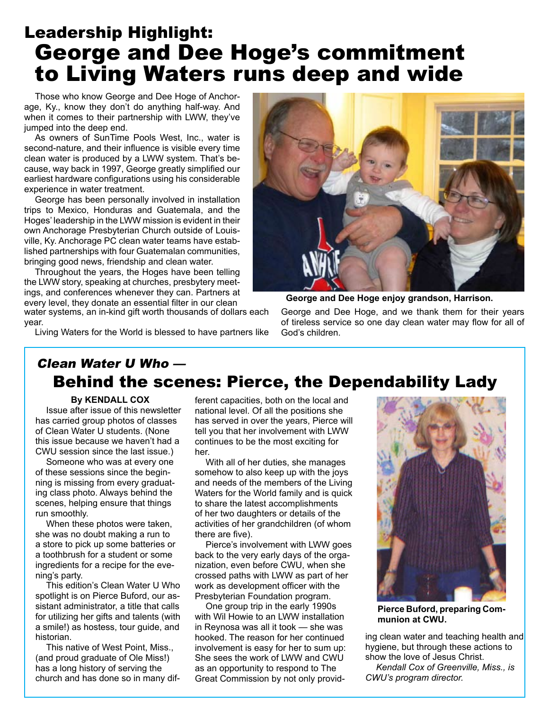### Leadership Highlight: George and Dee Hoge's commitment to Living Waters runs deep and wide

Those who know George and Dee Hoge of Anchorage, Ky., know they don't do anything half-way. And when it comes to their partnership with LWW, they've jumped into the deep end.

As owners of SunTime Pools West, Inc., water is second-nature, and their influence is visible every time clean water is produced by a LWW system. That's because, way back in 1997, George greatly simplified our earliest hardware configurations using his considerable experience in water treatment.

George has been personally involved in installation trips to Mexico, Honduras and Guatemala, and the Hoges' leadership in the LWW mission is evident in their own Anchorage Presbyterian Church outside of Louisville, Ky. Anchorage PC clean water teams have established partnerships with four Guatemalan communities, bringing good news, friendship and clean water.

Throughout the years, the Hoges have been telling the LWW story, speaking at churches, presbytery meetings, and conferences whenever they can. Partners at every level, they donate an essential filter in our clean

water systems, an in-kind gift worth thousands of dollars each year.

Living Waters for the World is blessed to have partners like



**George and Dee Hoge enjoy grandson, Harrison.**

George and Dee Hoge, and we thank them for their years of tireless service so one day clean water may flow for all of God's children.

### Clean Water U Who — Behind the scenes: Pierce, the Dependability Lady

#### **By KENDALL COX**

Issue after issue of this newsletter has carried group photos of classes of Clean Water U students. (None this issue because we haven't had a CWU session since the last issue.)

Someone who was at every one of these sessions since the beginning is missing from every graduating class photo. Always behind the scenes, helping ensure that things run smoothly.

When these photos were taken, she was no doubt making a run to a store to pick up some batteries or a toothbrush for a student or some ingredients for a recipe for the evening's party.

This edition's Clean Water U Who spotlight is on Pierce Buford, our assistant administrator, a title that calls for utilizing her gifts and talents (with a smile!) as hostess, tour guide, and historian.

This native of West Point, Miss., (and proud graduate of Ole Miss!) has a long history of serving the church and has done so in many different capacities, both on the local and national level. Of all the positions she has served in over the years, Pierce will tell you that her involvement with LWW continues to be the most exciting for her.

With all of her duties, she manages somehow to also keep up with the joys and needs of the members of the Living Waters for the World family and is quick to share the latest accomplishments of her two daughters or details of the activities of her grandchildren (of whom there are five).

Pierce's involvement with LWW goes back to the very early days of the organization, even before CWU, when she crossed paths with LWW as part of her work as development officer with the Presbyterian Foundation program.

One group trip in the early 1990s with Wil Howie to an LWW installation in Reynosa was all it took — she was hooked. The reason for her continued involvement is easy for her to sum up: She sees the work of LWW and CWU as an opportunity to respond to The Great Commission by not only provid-



**Pierce Buford, preparing Communion at CWU.** 

ing clean water and teaching health and hygiene, but through these actions to show the love of Jesus Christ.

*Kendall Cox of Greenville, Miss., is CWU's program director.*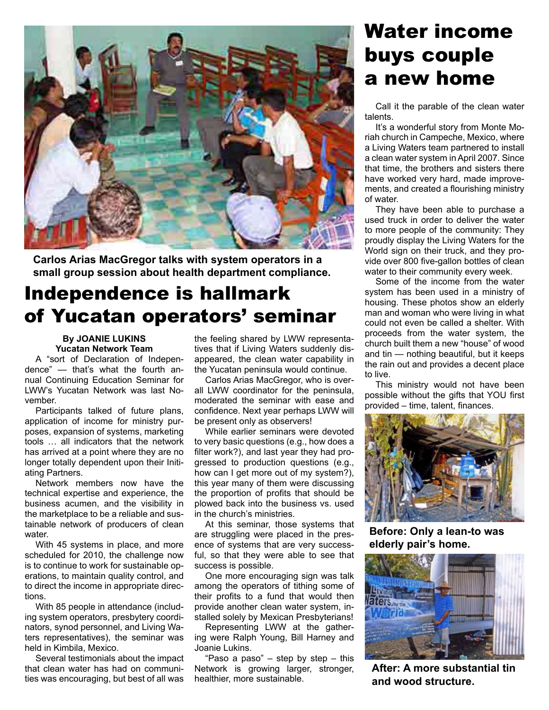

**Carlos Arias MacGregor talks with system operators in a small group session about health department compliance.**

### Independence is hallmark of Yucatan operators' seminar

#### **By JOANIE LUKINS Yucatan Network Team**

A "sort of Declaration of Independence" — that's what the fourth annual Continuing Education Seminar for LWW's Yucatan Network was last November.

Participants talked of future plans, application of income for ministry purposes, expansion of systems, marketing tools … all indicators that the network has arrived at a point where they are no longer totally dependent upon their Initiating Partners.

Network members now have the technical expertise and experience, the business acumen, and the visibility in the marketplace to be a reliable and sustainable network of producers of clean water.

With 45 systems in place, and more scheduled for 2010, the challenge now is to continue to work for sustainable operations, to maintain quality control, and to direct the income in appropriate directions.

With 85 people in attendance (including system operators, presbytery coordinators, synod personnel, and Living Waters representatives), the seminar was held in Kimbila, Mexico.

Several testimonials about the impact that clean water has had on communities was encouraging, but best of all was the feeling shared by LWW representatives that if Living Waters suddenly disappeared, the clean water capability in the Yucatan peninsula would continue.

Carlos Arias MacGregor, who is overall LWW coordinator for the peninsula, moderated the seminar with ease and confidence. Next year perhaps LWW will be present only as observers!

While earlier seminars were devoted to very basic questions (e.g., how does a filter work?), and last year they had progressed to production questions (e.g., how can I get more out of my system?), this year many of them were discussing the proportion of profits that should be plowed back into the business vs. used in the church's ministries.

At this seminar, those systems that are struggling were placed in the presence of systems that are very successful, so that they were able to see that success is possible.

One more encouraging sign was talk among the operators of tithing some of their profits to a fund that would then provide another clean water system, installed solely by Mexican Presbyterians!

Representing LWW at the gathering were Ralph Young, Bill Harney and Joanie Lukins.

"Paso a paso" – step by step – this Network is growing larger, stronger, healthier, more sustainable.

### Water income buys couple a new home

Call it the parable of the clean water talents.

It's a wonderful story from Monte Moriah church in Campeche, Mexico, where a Living Waters team partnered to install a clean water system in April 2007. Since that time, the brothers and sisters there have worked very hard, made improvements, and created a flourishing ministry of water.

They have been able to purchase a used truck in order to deliver the water to more people of the community: They proudly display the Living Waters for the World sign on their truck, and they provide over 800 five-gallon bottles of clean water to their community every week.

Some of the income from the water system has been used in a ministry of housing. These photos show an elderly man and woman who were living in what could not even be called a shelter. With proceeds from the water system, the church built them a new "house" of wood and tin — nothing beautiful, but it keeps the rain out and provides a decent place to live.

This ministry would not have been possible without the gifts that YOU first provided – time, talent, finances.



**Before: Only a lean-to was elderly pair's home.**



**After: A more substantial tin and wood structure.**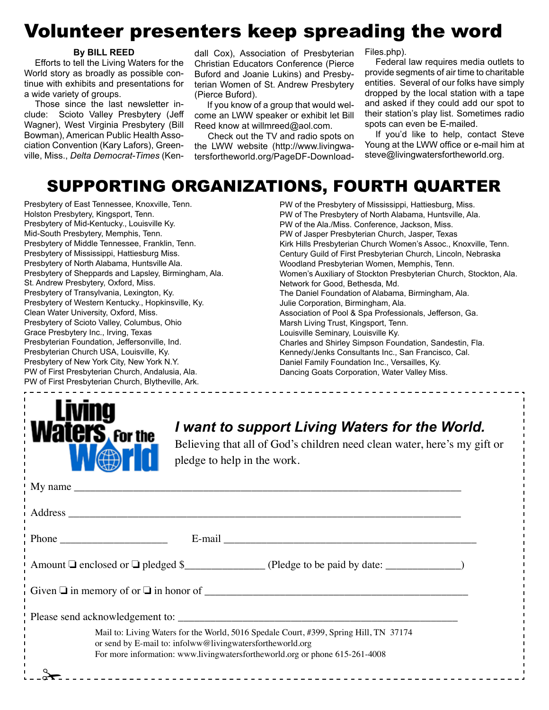### Volunteer presenters keep spreading the word

#### **By BILL REED**

Efforts to tell the Living Waters for the World story as broadly as possible continue with exhibits and presentations for a wide variety of groups.

Those since the last newsletter include: Scioto Valley Presbytery (Jeff Wagner), West Virginia Presbytery (Bill Bowman), American Public Health Association Convention (Kary Lafors), Greenville, Miss., *Delta Democrat-Times* (Kendall Cox), Association of Presbyterian Christian Educators Conference (Pierce Buford and Joanie Lukins) and Presbyterian Women of St. Andrew Presbytery (Pierce Buford).

 If you know of a group that would welcome an LWW speaker or exhibit let Bill Reed know at willmreed@aol.com.

Check out the TV and radio spots on the LWW website (http://www.livingwatersfortheworld.org/PageDF-DownloadFiles.php).

PW of the Presbytery of Mississippi, Hattiesburg, Miss.

Federal law requires media outlets to provide segments of air time to charitable entities. Several of our folks have simply dropped by the local station with a tape and asked if they could add our spot to their station's play list. Sometimes radio spots can even be E-mailed.

If you'd like to help, contact Steve Young at the LWW office or e-mail him at steve@livingwatersfortheworld.org.

### SUPPORTING ORGANIZATIONS, FOURTH QUARTER

Presbytery of East Tennessee, Knoxville, Tenn. Holston Presbytery, Kingsport, Tenn. Presbytery of Mid-Kentucky., Louisville Ky. Mid-South Presbytery, Memphis, Tenn. Presbytery of Middle Tennessee, Franklin, Tenn. Presbytery of Mississippi, Hattiesburg Miss. Presbytery of North Alabama, Huntsville Ala. Presbytery of Sheppards and Lapsley, Birmingham, Ala. St. Andrew Presbytery, Oxford, Miss. Presbytery of Transylvania, Lexington, Ky. Presbytery of Western Kentucky., Hopkinsville, Ky. Clean Water University, Oxford, Miss. Presbytery of Scioto Valley, Columbus, Ohio Grace Presbytery Inc., Irving, Texas Presbyterian Foundation, Jeffersonville, Ind. Presbyterian Church USA, Louisville, Ky. Presbytery of New York City, New York N.Y. PW of First Presbyterian Church, Andalusia, Ala. PW of First Presbyterian Church, Blytheville, Ark.





### *I want to support Living Waters for the World.*

Believing that all of God's children need clean water, here's my gift or pledge to help in the work.

--------------

| E-mail 2008 2008 2009 2009 2009 2010 2021 2022 2023 2024 2022 2023 2024 2022 2023 2024 2022 2023 2024 2025 2026 2027 2028 2029 2021 2022 2023 2024 2025 2026 2027 2027 2028 2029 2021 2022 2023 2029 2021 2022 2023 2029 2027     |  |
|-----------------------------------------------------------------------------------------------------------------------------------------------------------------------------------------------------------------------------------|--|
|                                                                                                                                                                                                                                   |  |
| Given $\Box$ in memory of or $\Box$ in honor of                                                                                                                                                                                   |  |
|                                                                                                                                                                                                                                   |  |
| Mail to: Living Waters for the World, 5016 Spedale Court, #399, Spring Hill, TN 37174<br>or send by E-mail to: infolww@livingwatersfortheworld.org<br>For more information: www.livingwatersfortheworld.org or phone 615-261-4008 |  |
|                                                                                                                                                                                                                                   |  |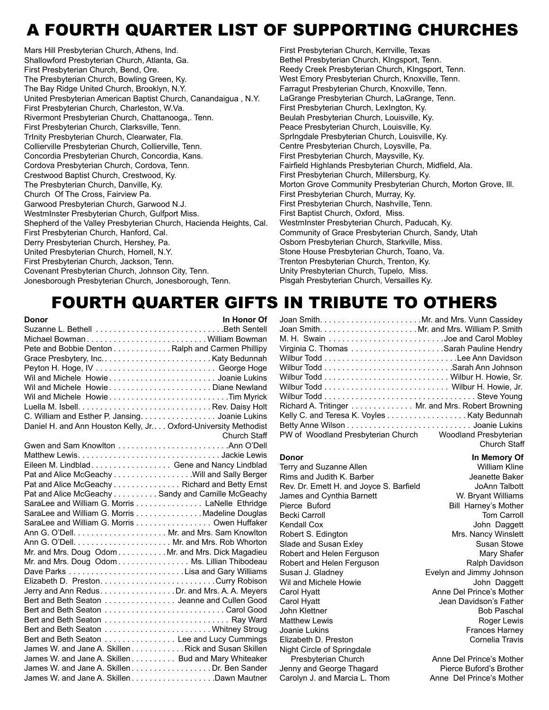### A FOURTH QUARTER LIST OF SUPPORTING CHURCHES

Mars Hill Presbyterian Church, Athens, Ind. Shallowford Presbyterian Church, Atlanta, Ga. First Presbyterian Church, Bend, Ore. The Presbyterian Church, Bowling Green, Ky. The Bay Ridge United Church, Brooklyn, N.Y. United Presbyterian American Baptist Church, Canandaigua , N.Y. First Presbyterian Church, Charleston, W.Va. Rivermont Presbyterian Church, Chattanooga,. Tenn. First Presbyterian Church, Clarksville, Tenn. TrInity Presbyterian Church, Clearwater, Fla. Collierville Presbyterian Church, Collierville, Tenn. Concordia Presbyterian Church, Concordia, Kans. Cordova Presbyterian Church, Cordova, Tenn. Crestwood Baptist Church, Crestwood, Ky. The Presbyterian Church, Danville, Ky. Church Of The Cross, Fairview Pa. Garwood Presbyterian Church, Garwood N.J. WestmInster Presbyterian Church, Gulfport Miss. Shepherd of the Valley Presbyterian Church, Hacienda Heights, Cal. First Presbyterian Church, Hanford, Cal. Derry Presbyterian Church, Hershey, Pa. United Presbyterian Church, Hornell, N.Y. First Presbyterian Church, Jackson, Tenn. Covenant Presbyterian Church, Johnson City, Tenn. Jonesborough Presbyterian Church, Jonesborough, Tenn.

First Presbyterian Church, Kerrville, Texas Bethel Presbyterian Church, KIngsport, Tenn. Reedy Creek Presbyterian Church, KIngsport, Tenn. West Emory Presbyterian Church, Knoxville, Tenn. Farragut Presbyterian Church, Knoxville, Tenn. LaGrange Presbyterian Church, LaGrange, Tenn. First Presbyterian Church, LexIngton, Ky. Beulah Presbyterian Church, Louisville, Ky. Peace Presbyterian Church, Louisville, Ky. SprIngdale Presbyterian Church, Louisville, Ky. Centre Presbyterian Church, Loysville, Pa. First Presbyterian Church, Maysville, Ky. Fairfield Highlands Presbyterian Church, Midfield, Ala. First Presbyterian Church, Millersburg, Ky. Morton Grove Community Presbyterian Church, Morton Grove, Ill. First Presbyterian Church, Murray, Ky. First Presbyterian Church, Nashville, Tenn. First Baptist Church, Oxford, Miss. WestmInster Presbyterian Church, Paducah, Ky. Community of Grace Presbyterian Church, Sandy, Utah Osborn Presbyterian Church, Starkville, Miss. Stone House Presbyterian Church, Toano, Va. Trenton Presbyterian Church, Trenton, Ky. Unity Presbyterian Church, Tupelo, Miss. Pisgah Presbyterian Church, Versailles Ky.

### FOURTH QUARTER GIFTS IN TRIBUTE TO OTHERS

| Donor                                                           | <b>In Honor Of</b>  |
|-----------------------------------------------------------------|---------------------|
| Suzanne L. Bethell Beth Sentell                                 |                     |
| Michael BowmanWilliam Bowman                                    |                     |
| Pete and Bobbie Denton Ralph and Carmen Phillipy                |                     |
|                                                                 |                     |
|                                                                 |                     |
|                                                                 |                     |
|                                                                 |                     |
|                                                                 |                     |
|                                                                 |                     |
| C. William and Esther P. Jansing. Joanie Lukins                 |                     |
| Daniel H. and Ann Houston Kelly, Jr Oxford-University Methodist |                     |
|                                                                 | <b>Church Staff</b> |
|                                                                 |                     |
|                                                                 |                     |
| Eileen M. Lindblad. Gene and Nancy Lindblad                     |                     |
| Pat and Alice McGeachy Will and Sally Berger                    |                     |
| Pat and Alice McGeachy Richard and Betty Ernst                  |                     |
| Pat and Alice McGeachy Sandy and Camille McGeachy               |                     |
| SaraLee and William G. Morris LaNelle Ethridge                  |                     |
| SaraLee and William G. Morris Madeline Douglas                  |                     |
| SaraLee and William G. Morris Owen Huffaker                     |                     |
|                                                                 |                     |
|                                                                 |                     |
| Mr. and Mrs. Doug Odom Mr. and Mrs. Dick Magadieu               |                     |
| Mr. and Mrs. Doug Odom Ms. Lillian Thibodeau                    |                     |
|                                                                 |                     |
|                                                                 |                     |
| Jerry and Ann Redus. Dr. and Mrs. A. A. Meyers                  |                     |
| Bert and Beth Seaton Jeanne and Cullen Good                     |                     |
|                                                                 |                     |
|                                                                 |                     |
|                                                                 |                     |
| Bert and Beth Seaton Lee and Lucy Cummings                      |                     |
| James W. and Jane A. Skillen Rick and Susan Skillen             |                     |
| James W. and Jane A. Skillen Bud and Mary Whiteaker             |                     |
| James W. and Jane A. Skillen Dr. Ben Sander                     |                     |
| James W. and Jane A. Skillen Dawn Mautner                       |                     |

| Richard A. Tritinger Mr. and Mrs. Robert Browning        |  |
|----------------------------------------------------------|--|
| Kelly C. and Teresa K. Voyles Katy Bedunnah              |  |
|                                                          |  |
| PW of Woodland Presbyterian Church Woodland Presbyterian |  |
| Church Staff                                             |  |

**Donor In Memory Of** Terry and Suzanne Allen Rims and Judith K. Barber **Goald Accord Seanette Baker** Jeanette Baker<br>Rev. Dr. Emett H. and Joyce S. Barfield **Goald Sean Seanette Baker** Rev. Dr. Emett H. and Joyce S. Barfield James and Cynthia Barnett W. Bryant Williams Pierce Buford **Bill Harney's Mother**<br>Becki Carroll **Becki** Carroll **Becki** Carroll Becki Carroll Kendall Cox **John Daggett** Robert S. Edington **Mrs. Nancy Winslett** Slade and Susan Exley Susan Stowe<br>
Robert and Helen Ferguson Susan Stowe Shafer Robert and Helen Ferguson Robert and Helen Ferguson Ralph Davidson Susan J. Gladney Evelyn and Jimmy Johnson Wil and Michele Howie **John Daggett**<br>Carol Hyatt **Carol Hyatt** Anne Del Prince's Mother Carol Hyatt Jean Davidson's Father John Klettner Matthew Lewis **Matthew Lewis Roger Lewis** Joanie Lukins<br>Flizabeth D. Preston Frances Harney<br>Flizabeth D. Preston Frances Frances Cornelia Travis Elizabeth D. Preston Night Circle of Springdale Presbyterian Church Anne Del Prince's Mother Jenny and George Thagard Pierce Buford's Brother

Anne Del Prince's Mother

Carolyn J. and Marcia L. Thom Anne Del Prince's Mother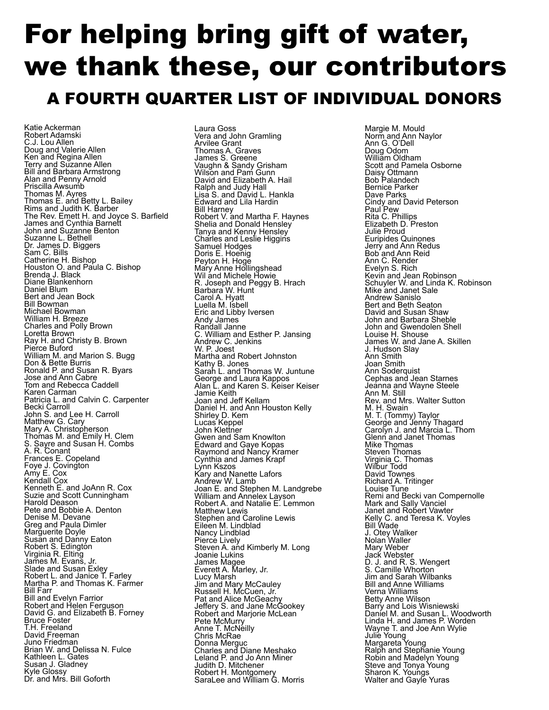## For helping bring gift of water, we thank these, our contributors A FOURTH QUARTER LIST OF INDIVIDUAL DONORS

Katie Ackerman Robert Adamski C.J. Lou Allen Doug and Valerie Allen Ken and Regina Allen Terry and Suzanne Allen Bill and Barbara Armstrong Alan and Penny Arnold Priscilla Awsumb Thomas M. Ayres Thomas E. and Betty L. Bailey Rims and Judith K. Barber The Rev. Emett H. and Joyce S. Barfield James and Cynthia Barnett John and Suzanne Benton Suzanne L. Bethell Dr. James D. Biggers Sam C. Bills Catherine H. Bishop Houston O. and Paula C. Bishop Brenda J. Black Diane Blankenhorn Daniel Blum Bert and Jean Bock Bill Bowman Michael Bowman William H. Breeze Charles and Polly Brown Loretta Brown Ray H. and Christy B. Brown Pierce Buford William M. and Marion S. Bugg Don & Bette Burris Ronald P. and Susan R. Byars Jose and Ann Cabre Tom and Rebecca Caddell Karen Carman Patricia L. and Calvin C. Carpenter Becki Carroll John S. and Lee H. Carroll Matthew G. Cary <u>M</u>ary A. Christopherson Thomas M. and Emily H. Clem S. Sayre and Susan H. Combs A. R. Conant Frances E. Copeland Foye J. Covington Amy E. Cox Kendall Cox Kenneth E. and JoAnn R. Cox Suzie and Scott Cunningham Harold Deason Pete and Bobbie A. Denton Denise M. Devane Greg and Paula Dimler Marguerite Doyle Susan and Danny Eaton Robert S. Edingtón Virginia R. Elting James M. Evans, Jr. Slade and Susan Exley Robert L. and Janice T. Farley Martha P. and Thomas K. Farmer Bill Farr Bill and Evelyn Farrior Robert and Helen Ferguson David G. and Elizabeth B. Forney Bruce Foster T.H. Freeland David Freeman Juno Friedman Brian W. and Delissa N. Fulce Kathleen L. Gates Susan J. Gladney Kyle Glossy Dr. and Mrs. Bill Goforth

Laura Goss Vera and John Gramling Arvilee Grant Thomas A. Graves James S. Greene Vaughn & Sandy Grisham Wilson and Pam Gunn David and Elizabeth A. Hail Ralph and Judy Hall Lisa S. and David L. Hankla Edward and Lila Hardin Bill Harney Robert V. and Martha F. Haynes Shelia and Donald Hensley Tanya and Kenny Hensley Charles and Leslie Higgins Samuel Hodges Doris E. Hoenig Peyton H. Hoge Mary Anne Hollingshead Wil and Michele Howie R. Joseph and Peggy B. Hrach Barbara W. Hunt Carol A. Hyatt Luella M. Isbell Eric and Libby Iversen Andy James Randall Janne C. William and Esther P. Jansing Andrew C. Jenkins W. P. Joest Martha and Robert Johnston Kathy B. Jones Sarah L. and Thomas W. Juntune George and Laura Kappos Alan L. and Karen S. Keiser Keiser Jamie Keith Joan and Jeff Kellam Daniel H. and Ann Houston Kelly Shirley D. Kem Lucas Keppel John Klet<del>t</del>ner Gwen and Sam Knowlton Edward and Gaye Kopas Raymond and Nancy Kramer Cynthia and James Krapf Lynn Kszos Kary and Nanette Lafors Andrew W. Lamb Joan E. and Stephen M. Landgrebe William and Annelex Layson Robert A. and Natalie E. Lemmon Matthew Lewis Stephen and Caroline Lewis Eileen M. Lindblad Nancy Lindblad Pierce Lively Steven A. and Kimberly M. Long Joanie Lukins James Magee Everett A. Marley, Jr. Lucy Marsh Jim and Mary McCauley Russell H. McCuen, Jr. Pat and Alice McGeachy Jeffery S. and Jane McGookey Robert and Marjorie McLean Pete McMurry Anne T. McNeilly Chris McRae Donna Merguc Charles and Diane Meshako Leland P. and Jo Ann Miner Judith D. Mitchener Robert H. Montgomery SaraLee and William G. Morris

Margie M. Mould Norm and Ann Naylor Ann G. O'Dell Doug Odom William Oldham Scott and Pamela Osborne Daisy Ottmann Bob Palandech Bernice Parker Dave Parks Cindy and David Peterson Paul Pew Rita C. Phillips Elizabeth D. Preston Julie Proud Euripides Quinones Jerry and Ann Redus Bob and Ann Reid Ann C. Render Evelyn S. Rich Kevin and Jean Robinson Schuyler W. and Linda K. Robinson Mike and Janet Sale Andrew Sanislo Bert and Beth Seaton David and Susan Shaw John and Barbara Sheble John and Gwendolen Shell Louise H. Shouse James W. and Jane A. Skillen J. Hudson Slay Ann Smith Joan Smith Ann Soderquist Cephas and Jean Starnes Jeanna and Wayne Steele Ann M. Still Rev. and Mrs. Walter Sutton M. H. <u>S</u>wain M. T. (Tommy) Taylor George and Jenny Thagard Carolyn J. and Marcia L. Thom Glenn and Janet Thomas Mike Thomas Steven Thomas Virginia C. Thomas Wilbur Todd David Townes Richard A. Tritinger Louise Tune Remi and Becki van Compernolle Mark and Sally Vanciel Janet and Robert Vawter Kelly C. and Teresa K. Voyles Bill Wade J. Otey Walker Nolan Waller Mary Weber Jack Webster D. J. and R. S. Wengert S. Camille Whorton Jim and Sarah Wilbanks Bill and Anne Williams Verna Williams Betty Anne Wilson Barry and Lois Wisniewski Daniel M. and Susan L. Woodworth Linda H. and James P. Worden Wayne T. and Joe Ann Wylie Julie Young Margareta Young Ralph and Stephanie Young Robin and Madelyn Young Steve and Tonya Young Sharon K. Youngs Walter and Gayle Yuras